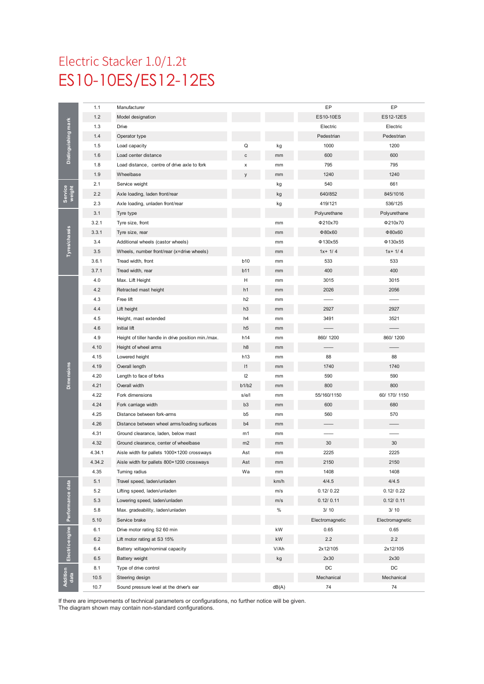# ES10-10ES/ES12-12ES Electric Stacker 1.0/1.2t

|                      | 1.1    | Manufacturer                                        |                |               | EP               | EP              |
|----------------------|--------|-----------------------------------------------------|----------------|---------------|------------------|-----------------|
| Distinguishing mark  | 1.2    | Model designation                                   |                |               | <b>ES10-10ES</b> | ES12-12ES       |
|                      | 1.3    | Drive                                               |                |               | Electric         | Electric        |
|                      | 1.4    | Operator type                                       |                |               | Pedestrian       | Pedestrian      |
|                      | 1.5    | Load capacity                                       | Q              | kg            | 1000             | 1200            |
|                      | 1.6    | Load center distance                                | с              | mm            | 600              | 600             |
|                      | 1.8    | Load distance, centre of drive axle to fork         | x              | mm            | 795              | 795             |
|                      | 1.9    | Wheelbase                                           | y              | mm            | 1240             | 1240            |
|                      | 2.1    | Service weight                                      |                | kg            | 540              | 661             |
| Service<br>weight    | 2.2    | Axle loading, laden front/rear                      |                | kg            | 640/852          | 845/1016        |
|                      | 2.3    | Axle loading, unladen front/rear                    |                | kg            | 419/121          | 536/125         |
|                      | 3.1    | Tyre type                                           |                |               | Polyurethane     | Polyurethane    |
|                      | 3.2.1  | Tyre size, front                                    |                | mm            | Φ210x70          | Φ210x70         |
|                      | 3.3.1  | Tyre size, rear                                     |                | mm            | Φ80x60           | Φ80x60          |
| <b>Tyres/chassis</b> | 3.4    | Additional wheels (castor wheels)                   |                | mm            | $Φ$ 130x55       | $Φ$ 130x55      |
|                      | 3.5    | Wheels, number front/rear (x=drive wheels)          |                | mm            | $1x + 1/4$       | $1x + 1/4$      |
|                      | 3.6.1  | Tread width, front                                  | <b>b10</b>     | mm            | 533              | 533             |
|                      | 3.7.1  | Tread width, rear                                   | b11            | mm            | 400              | 400             |
|                      | 4.0    | Max. Lift Height                                    | н              | mm            | 3015             | 3015            |
|                      | 4.2    | Retracted mast height                               | h1             | mm            | 2026             | 2056            |
|                      | 4.3    | Free lift                                           | h <sub>2</sub> |               |                  |                 |
|                      |        | Lift height                                         | h <sub>3</sub> | mm            | 2927             | 2927            |
|                      | 4.4    |                                                     |                | mm            |                  |                 |
|                      | 4.5    | Height, mast extended                               | h4             | mm            | 3491             | 3521            |
|                      | 4.6    | Initial lift                                        | h <sub>5</sub> | mm            |                  |                 |
|                      | 4.9    | Height of tiller handle in drive position min./max. | h14            | mm            | 860/1200         | 860/1200        |
|                      | 4.10   | Height of wheel arms                                | h8             | mm            |                  |                 |
|                      | 4.15   | Lowered height                                      | h13            | mm            | 88               | 88              |
|                      | 4.19   | Overall length                                      | 11             | mm            | 1740             | 1740            |
| <b>Dimensions</b>    | 4.20   | Length to face of forks                             | 12             | mm            | 590              | 590             |
|                      | 4.21   | Overall width                                       | b1/b2          | mm            | 800              | 800             |
|                      | 4.22   | Fork dimensions                                     | s/e/l          | mm            | 55/160/1150      | 60/ 170/ 1150   |
|                      | 4.24   | Fork carriage width                                 | b <sub>3</sub> | mm            | 600              | 680             |
|                      | 4.25   | Distance between fork-arms                          | b <sub>5</sub> | mm            | 560              | 570             |
|                      | 4.26   | Distance between wheel arms/loading surfaces        | b4             | mm            |                  |                 |
|                      | 4.31   | Ground clearance, laden, below mast                 | m1             | mm            |                  |                 |
|                      | 4.32   | Ground clearance, center of wheelbase               | m <sub>2</sub> | mm            | 30               | 30              |
|                      | 4.34.1 | Aisle width for pallets 1000×1200 crossways         | Ast            | mm            | 2225             | 2225            |
|                      | 4.34.2 | Aisle width for pallets 800×1200 crossways          | Ast            | mm            | 2150             | 2150            |
|                      | 4.35   | Turning radius                                      | Wa             | $\mathsf{mm}$ | 1408             | 1408            |
|                      | 5.1    | Travel speed, laden/unladen                         |                | km/h          | 4/4.5            | 4/4.5           |
| Performance data     | 5.2    | Lifting speed, laden/unladen                        |                | m/s           | 0.12/0.22        | 0.12/0.22       |
|                      | 5.3    | Lowering speed, laden/unladen                       |                | m/s           | 0.12/0.11        | 0.12/0.11       |
|                      | 5.8    | Max. gradeability, laden/unladen                    |                | $\%$          | 3/10             | 3/10            |
|                      | 5.10   | Service brake                                       |                |               | Electromagnetic  | Electromagnetic |
| Electric-engine      | 6.1    | Drive motor rating S2 60 min                        |                | kW            | 0.65             | 0.65            |
|                      | 6.2    | Lift motor rating at S3 15%                         |                | kW            | 2.2              | 2.2             |
|                      | 6.4    | Battery voltage/nominal capacity                    |                | V/Ah          | 2x12/105         | 2x12/105        |
|                      | 6.5    | Battery weight                                      |                | kg            | 2x30             | 2x30            |
|                      | 8.1    | Type of drive control                               |                |               | DC               | DC              |
| Addition<br>data     | 10.5   | Steering design                                     |                |               | Mechanical       | Mechanical      |
|                      | 10.7   | Sound pressure level at the driver's ear            |                | dB(A)         | 74               | 74              |

If there are improvements of technical parameters or configurations, no further notice will be given.

The diagram shown may contain non-standard configurations.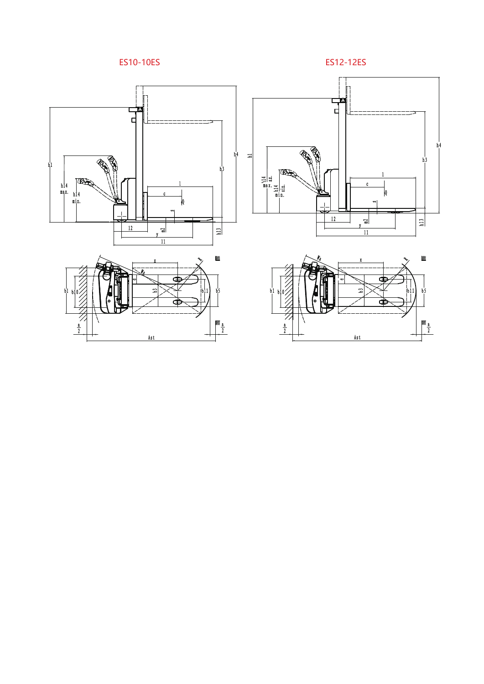





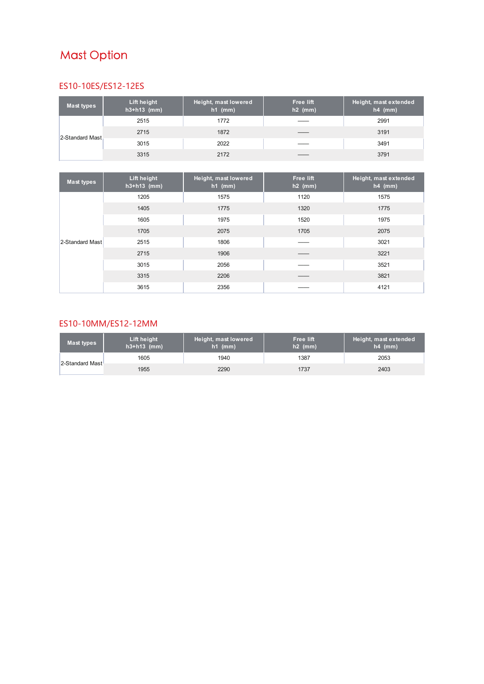## **Mast Option**

#### ES10-10ES/ES12-12ES

| Mast types      | Lift height<br>$h3+h13$ (mm) | Height, mast lowered<br>$h1$ (mm) | <b>Free lift</b><br>$h2$ (mm) | Height, mast extended<br>$h4$ (mm) |
|-----------------|------------------------------|-----------------------------------|-------------------------------|------------------------------------|
|                 | 2515                         | 1772                              |                               | 2991                               |
|                 | 2715                         | 1872                              |                               | 3191                               |
| 2-Standard Mast | 3015                         | 2022                              |                               | 3491                               |
|                 | 3315                         | 2172                              |                               | 3791                               |

| <b>Mast types</b> | Lift height<br>$h3+h13$ (mm) | Height, mast lowered<br>$h1$ (mm) | <b>Free lift</b><br>$h2$ (mm). | Height, mast extended<br>$h4$ (mm) |
|-------------------|------------------------------|-----------------------------------|--------------------------------|------------------------------------|
|                   | 1205                         | 1575                              | 1120                           | 1575                               |
|                   | 1405                         | 1775                              | 1320                           | 1775                               |
|                   | 1605                         | 1975                              | 1520                           | 1975                               |
|                   | 1705                         | 2075                              | 1705                           | 2075                               |
| 2-Standard Mast   | 2515                         | 1806                              |                                | 3021                               |
|                   | 2715                         | 1906                              |                                | 3221                               |
|                   | 3015                         | 2056                              |                                | 3521                               |
|                   | 3315                         | 2206                              |                                | 3821                               |
|                   | 3615                         | 2356                              |                                | 4121                               |

#### ES10-10MM/ES12-12MM

| Mast types      | Lift height<br>$h3+h13$ (mm) | Height, mast lowered<br>$nh1$ (mm) | <b>Free lift</b><br>$h2$ (mm) | Height, mast extended<br>$h4$ (mm) |
|-----------------|------------------------------|------------------------------------|-------------------------------|------------------------------------|
| 2-Standard Mast | 1605                         | 1940                               | 1387                          | 2053                               |
|                 | 1955                         | 2290                               | 1737                          | 2403                               |